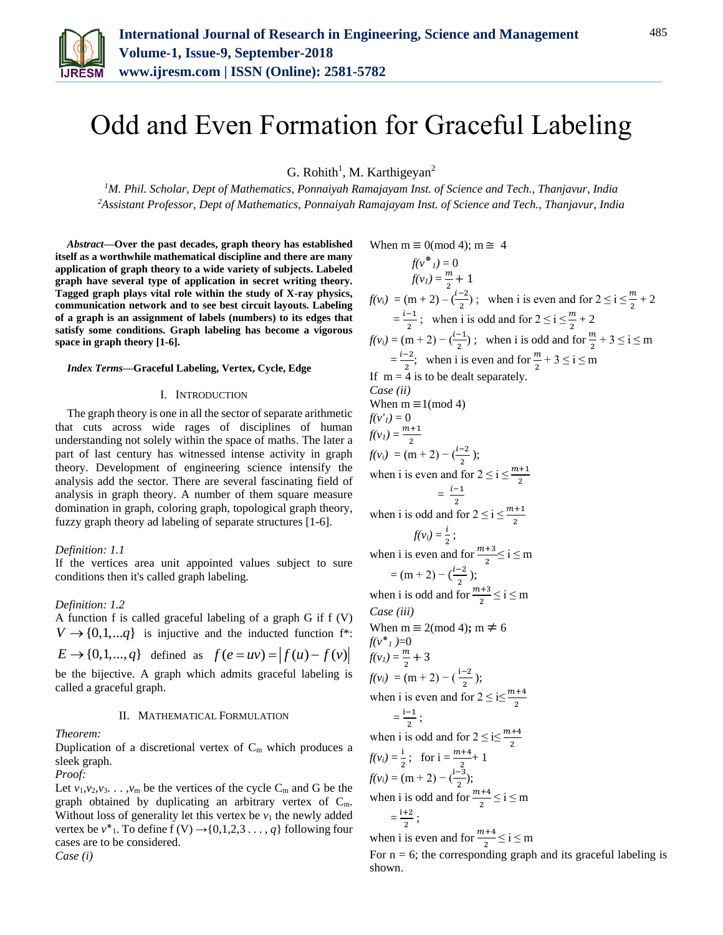

# Odd and Even Formation for Graceful Labeling

G. Rohith<sup>1</sup>, M. Karthigeyan<sup>2</sup>

*<sup>1</sup>M. Phil. Scholar, Dept of Mathematics, Ponnaiyah Ramajayam Inst. of Science and Tech., Thanjavur, India <sup>2</sup>Assistant Professor, Dept of Mathematics, Ponnaiyah Ramajayam Inst. of Science and Tech., Thanjavur, India*

*Abstract***—Over the past decades, graph theory has established itself as a worthwhile mathematical discipline and there are many application of graph theory to a wide variety of subjects. Labeled graph have several type of application in secret writing theory. Tagged graph plays vital role within the study of X-ray physics, communication network and to see best circuit layouts. Labeling of a graph is an assignment of labels (numbers) to its edges that satisfy some conditions. Graph labeling has become a vigorous space in graph theory [1-6].**

### *Index Terms***—Graceful Labeling, Vertex, Cycle, Edge**

# I. INTRODUCTION

The graph theory is one in all the sector of separate arithmetic that cuts across wide rages of disciplines of human understanding not solely within the space of maths. The later a part of last century has witnessed intense activity in graph theory. Development of engineering science intensify the analysis add the sector. There are several fascinating field of analysis in graph theory. A number of them square measure domination in graph, coloring graph, topological graph theory, fuzzy graph theory ad labeling of separate structures [1-6].

#### *Definition: 1.1*

If the vertices area unit appointed values subject to sure conditions then it's called graph labeling.

## *Definition: 1.2*

A function f is called graceful labeling of a graph G if f (V)  $V \rightarrow \{0,1,...q\}$  is injuctive and the inducted function f<sup>\*</sup>:  $E \to \{0, 1, ..., q\}$  defined as  $f(e = uv) = |f(u) - f(v)|$ 

be the bijective. A graph which admits graceful labeling is called a graceful graph.

#### II. MATHEMATICAL FORMULATION

*Theorem:*

Duplication of a discretional vertex of  $C_m$  which produces a sleek graph.

*Proof:*

Let  $v_1, v_2, v_3$ ...,  $v_m$  be the vertices of the cycle  $C_m$  and G be the graph obtained by duplicating an arbitrary vertex of  $C_m$ . Without loss of generality let this vertex be  $v_1$  the newly added vertex be  $v^*$ <sub>1</sub>. To define f (V)  $\rightarrow$  {0,1,2,3 . . . , *q*} following four cases are to be considered. *Case (i)* 

When  $m \equiv 0 \pmod{4}$ ;  $m \approx 4$  $f(v^*, i) = 0$  $f(v_1) = \frac{m}{2}$  $\frac{m}{2}+1$  $f(v_i) = (m+2) - (\frac{i-2}{2})$  $\frac{1}{2}$ ; when i is even and for  $2 \le i \le \frac{m}{2} + 2$  $=\frac{i-1}{2}$  $\frac{-1}{2}$ ; when i is odd and for  $2 \le i \le \frac{m}{2} + 2$  $f(v_i) = (m+2) - (\frac{i-1}{2})$ ; when i is odd and for  $\frac{m}{2} + 3 \le i \le m$  $=\frac{i-2}{2}$  $\frac{-2}{2}$ ; when i is even and for  $\frac{m}{2} + 3 \le i \le m$ If  $m = 4$  is to be dealt separately. *Case (ii)*  When  $m \equiv 1 \pmod{4}$  $f(v') = 0$  $f(v_1) = \frac{m+1}{2}$ 2  $f(v_i) = (m+2) - (\frac{i-2}{2});$ when i is even and for  $2 \le i \le \frac{m+1}{2}$  $=$  $i-1$  $\frac{-1}{2}$ when i is odd and for  $2 \le i \le \frac{m+1}{2}$  $f(v_i) = \frac{i}{i}$  $\frac{1}{2}$ ; when i is even and for  $\frac{m+3}{2} \le i \le m$  $=(m+2)-(\frac{i-2}{2})$  $\frac{-2}{2}$ ); when i is odd and for  $\frac{m+3}{2} \le i \le m$ *Case (iii)*  When  $m \equiv 2 \pmod{4}$ ;  $m \neq 6$ *f*( $v^*$ <sub>1</sub>)=0  $f(v_1) = \frac{m}{2}$  $\frac{m}{2} + 3$  $f(v_i) = (m+2) - (\frac{i-2}{2});$ when i is even and for  $2 \le i \le \frac{m+4}{2}$  $=\frac{i-1}{2}$  $\frac{1}{2}$ ; when i is odd and for  $2 \le i \le \frac{m+4}{2}$  $f(v_i) = \frac{i}{i}$  $\frac{1}{2}$ ; for  $i = \frac{m+4}{2} + 1$  $f(v_i) = (m+2) - (\frac{i-3}{2});$ when i is odd and for  $\frac{m+4}{2} \le i \le m$  $=\frac{i+2}{2}$  $\frac{12}{2}$ ; when i is even and for  $\frac{m+4}{2} \le i \le m$ 

For  $n = 6$ ; the corresponding graph and its graceful labeling is shown.